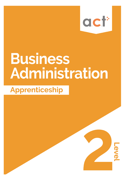

**Level** 

# **Business** Administration

# **Apprenticeship**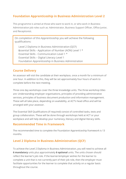# **Foundation Apprenticeship in Business Administration Level 2**

This programme is aimed at those who want to work in, or who work in Business Administration job roles such as: Administrator, Business Support Officer, Office Junior, and Receptionist.

On completion of this Apprenticeship you will achieve the following qualifications:

Level 2 Diploma in Business Administration (QCF) Essential Skills - Application of Number (AON) Level 1 \* \* Essential Skills - Communication Level 1 \* Essential Skills – Digital Literacy Level 1 Foundation Apprenticeship in Business Administration

## **Course Delivery**

An assessor will visit the candidate at their workplace, once a month for a minimum of one hour. In addition to this, they will be set approximately four hours of work to complete before the next meeting.

Three one day workshops cover the three knowledge units. The three workshop titles are: Understanding employer organisations, principles of providing administrative services, principles of business document production and information management. These will all take place, depending on availability, at ACT's head office and will be arranged with your assessor.

The Essential Skill Qualifications (if required) consist of controlled tasks, tests and group collaboration. These will be done through workshops held at ACT or your workplace and will help develop your numeracy, literacy and digital literacy skills.

#### **Recommended Time in Framework**

The recommended time to complete the Foundation Apprenticeship framework is 13 months.

# **Level 2 Diploma in Business Administration (QCF)**

To achieve the Level 2 Diploma in Business Administration, you will need to achieve all **6 mandatory** units plus approximately **6 optional** units. The units chosen should reflect the learner's job role. If the learner/employer wishes for the learner to complete a unit that is not currently part of their job role, then the employer must facilitate opportunities for the learner to complete that activity on a regular basis throughout the course.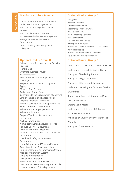#### **Mandatory Units - Group A**

Communicate in a Business Environment Understand Employer Organisations Principles or Providing Administrative Services Principles of Business Document

Production and Information Management Manage Personal Performance and Development Develop Working Relationships with Colleagues

#### **Optional Units - Group B**

Administer the Recruitment and Selection Process Handle Mail Organise Business Travel or Accommodation Provide Administrative Support for meetings Prepare Text from Notes Using Touch Typing Manage Diary Systems Collate and Report Data Contribute to the Organisation of an Event Employee Rights and Responsibilities Prepare Text from Shorthand Buddy a Colleague to Develop their Skills Store and Retrieve Information Administer Parking Dispensations Administer Finance Prepare Text from Recorded Audio Instruction Archive Information Administer Human Resource Records Produce Business Documents Produce Minutes of Meetings Meet and Welcome Visitors in a Business Environment Health and Safety in a Business Environment Use a Telephone and Voicemail System Contribute to the Development and Implementation of an Information System Monitor Information System Develop a Presentation Deliver a Presentation Analyse and Present Business Data Maintain and Issue Stationary and Supplies Use and Maintain Office Equipment

#### **Optional Units - Group C**

Using Email Bespoke Software Spreadsheet Software Data Management Software Presentation Software Work Processing Software Website Software Deliver Customer Service Participate in a Project Processing Customers' Financial Transactions Payroll Processing Process Information about Customers Develop Customer Relationships

#### **Optional Units - Group D**

Understand the Use of Research in Business Understand the Legal Context of Business Principles of Marketing Theory Principles of Digital Marketing Principles of Customer Relationships Understand Working in a Customer Service Environment Know how to Publish, Integrate and Share Using Social Media Explore Social Media Understand the Safe Use of Online and Social Media Platforms Principles or Equality and Diversity in the Workplace Principles of Team Leading